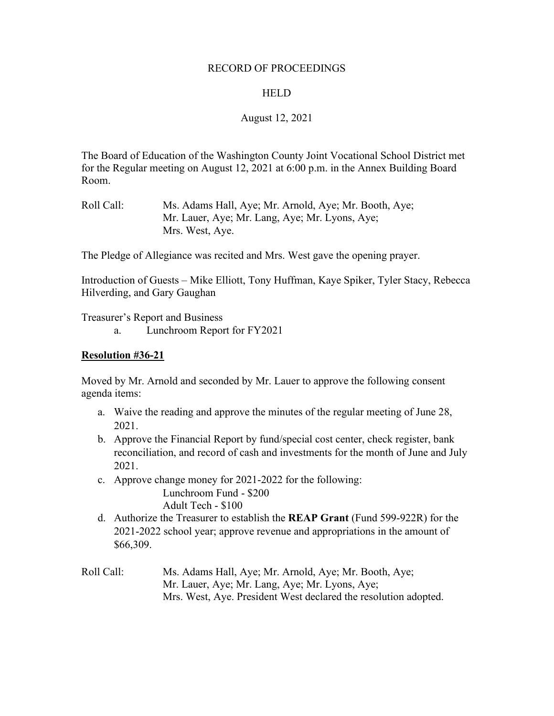### RECORD OF PROCEEDINGS

### **HELD**

### August 12, 2021

The Board of Education of the Washington County Joint Vocational School District met for the Regular meeting on August 12, 2021 at 6:00 p.m. in the Annex Building Board Room.

Roll Call: Ms. Adams Hall, Aye; Mr. Arnold, Aye; Mr. Booth, Aye; Mr. Lauer, Aye; Mr. Lang, Aye; Mr. Lyons, Aye; Mrs. West, Aye.

The Pledge of Allegiance was recited and Mrs. West gave the opening prayer.

Introduction of Guests – Mike Elliott, Tony Huffman, Kaye Spiker, Tyler Stacy, Rebecca Hilverding, and Gary Gaughan

Treasurer's Report and Business

a. Lunchroom Report for FY2021

### **Resolution #36-21**

Moved by Mr. Arnold and seconded by Mr. Lauer to approve the following consent agenda items:

- a. Waive the reading and approve the minutes of the regular meeting of June 28, 2021.
- b. Approve the Financial Report by fund/special cost center, check register, bank reconciliation, and record of cash and investments for the month of June and July 2021.
- c. Approve change money for 2021-2022 for the following: Lunchroom Fund - \$200 Adult Tech - \$100
- d. Authorize the Treasurer to establish the **REAP Grant** (Fund 599-922R) for the 2021-2022 school year; approve revenue and appropriations in the amount of \$66,309.
- Roll Call: Ms. Adams Hall, Aye; Mr. Arnold, Aye; Mr. Booth, Aye; Mr. Lauer, Aye; Mr. Lang, Aye; Mr. Lyons, Aye; Mrs. West, Aye. President West declared the resolution adopted.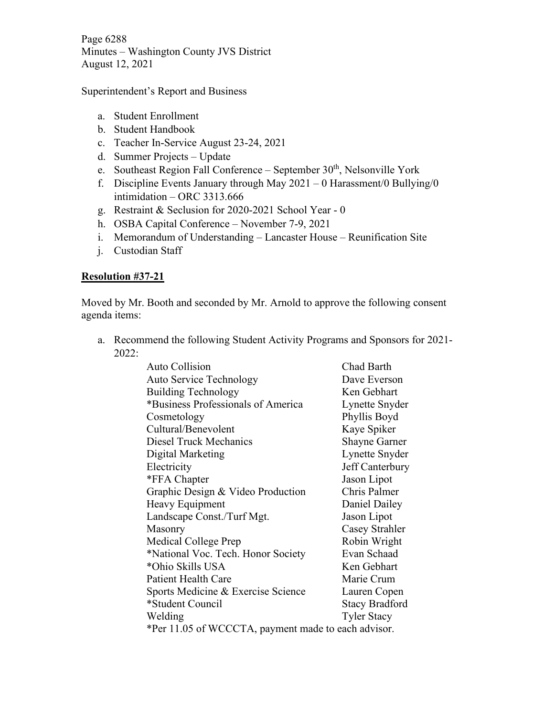Page 6288 Minutes – Washington County JVS District August 12, 2021

Superintendent's Report and Business

- a. Student Enrollment
- b. Student Handbook
- c. Teacher In-Service August 23-24, 2021
- d. Summer Projects Update
- e. Southeast Region Fall Conference September 30<sup>th</sup>, Nelsonville York
- f. Discipline Events January through May  $2021 0$  Harassment/0 Bullying/0 intimidation – ORC 3313.666
- g. Restraint & Seclusion for 2020-2021 School Year 0
- h. OSBA Capital Conference November 7-9, 2021
- i. Memorandum of Understanding Lancaster House Reunification Site
- j. Custodian Staff

## **Resolution #37-21**

Moved by Mr. Booth and seconded by Mr. Arnold to approve the following consent agenda items:

a. Recommend the following Student Activity Programs and Sponsors for 2021- 2022:

| <b>Auto Collision</b>                               | Chad Barth            |
|-----------------------------------------------------|-----------------------|
| <b>Auto Service Technology</b>                      | Dave Everson          |
| Building Technology                                 | Ken Gebhart           |
| *Business Professionals of America                  | Lynette Snyder        |
| Cosmetology                                         | Phyllis Boyd          |
| Cultural/Benevolent                                 | Kaye Spiker           |
| <b>Diesel Truck Mechanics</b>                       | <b>Shayne Garner</b>  |
| Digital Marketing                                   | Lynette Snyder        |
| Electricity                                         | Jeff Canterbury       |
| *FFA Chapter                                        | Jason Lipot           |
| Graphic Design & Video Production                   | Chris Palmer          |
| Heavy Equipment                                     | Daniel Dailey         |
| Landscape Const./Turf Mgt.                          | Jason Lipot           |
| Masonry                                             | Casey Strahler        |
| Medical College Prep                                | Robin Wright          |
| *National Voc. Tech. Honor Society                  | Evan Schaad           |
| *Ohio Skills USA                                    | Ken Gebhart           |
| <b>Patient Health Care</b>                          | Marie Crum            |
| Sports Medicine & Exercise Science                  | Lauren Copen          |
| *Student Council                                    | <b>Stacy Bradford</b> |
| Welding                                             | <b>Tyler Stacy</b>    |
| *Per 11.05 of WCCCTA, payment made to each advisor. |                       |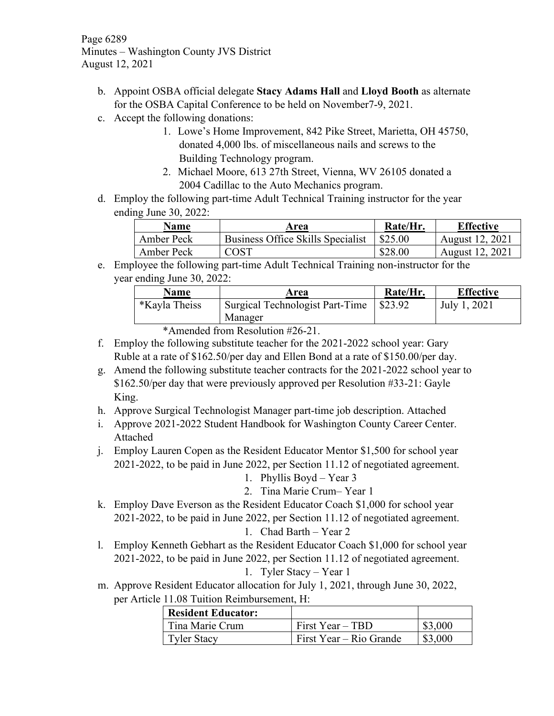Page 6289 Minutes – Washington County JVS District August 12, 2021

- b. Appoint OSBA official delegate **Stacy Adams Hall** and **Lloyd Booth** as alternate for the OSBA Capital Conference to be held on November7-9, 2021.
- c. Accept the following donations:
	- 1. Lowe's Home Improvement, 842 Pike Street, Marietta, OH 45750, donated 4,000 lbs. of miscellaneous nails and screws to the Building Technology program.
	- 2. Michael Moore, 613 27th Street, Vienna, WV 26105 donated a 2004 Cadillac to the Auto Mechanics program.
- d. Employ the following part-time Adult Technical Training instructor for the year ending June 30, 2022:

| Name       | Area                              | Rate/Hr. | <b>Effective</b> |  |  |  |
|------------|-----------------------------------|----------|------------------|--|--|--|
| Amber Peck | Business Office Skills Specialist | \$25.00  | August 12, 2021  |  |  |  |
| Amber Peck | $\bigcirc$ OST                    | \$28.00  | August 12, 2021  |  |  |  |

e. Employee the following part-time Adult Technical Training non-instructor for the year ending June 30, 2022:

| <b>Name</b>          | Area                            | Rate/Hr. | <b>Effective</b> |  |  |  |
|----------------------|---------------------------------|----------|------------------|--|--|--|
| <i>*Kayla Theiss</i> | Surgical Technologist Part-Time | \$23.92  | July 1, 2021     |  |  |  |
|                      | Manager                         |          |                  |  |  |  |

\*Amended from Resolution #26-21.

- f. Employ the following substitute teacher for the 2021-2022 school year: Gary Ruble at a rate of \$162.50/per day and Ellen Bond at a rate of \$150.00/per day.
- g. Amend the following substitute teacher contracts for the 2021-2022 school year to \$162.50/per day that were previously approved per Resolution #33-21: Gayle King.
- h. Approve Surgical Technologist Manager part-time job description. Attached
- i. Approve 2021-2022 Student Handbook for Washington County Career Center. Attached
- j. Employ Lauren Copen as the Resident Educator Mentor \$1,500 for school year 2021-2022, to be paid in June 2022, per Section 11.12 of negotiated agreement.
	- 1. Phyllis Boyd Year 3
	- 2. Tina Marie Crum– Year 1
- k. Employ Dave Everson as the Resident Educator Coach \$1,000 for school year 2021-2022, to be paid in June 2022, per Section 11.12 of negotiated agreement.

1. Chad Barth – Year 2

l. Employ Kenneth Gebhart as the Resident Educator Coach \$1,000 for school year 2021-2022, to be paid in June 2022, per Section 11.12 of negotiated agreement.

1. Tyler Stacy – Year 1

m. Approve Resident Educator allocation for July 1, 2021, through June 30, 2022, per Article 11.08 Tuition Reimbursement, H:

| <b>Resident Educator:</b> |                         |         |
|---------------------------|-------------------------|---------|
| Tina Marie Crum           | First Year – TBD        | \$3,000 |
| <b>Tyler Stacy</b>        | First Year – Rio Grande | \$3,000 |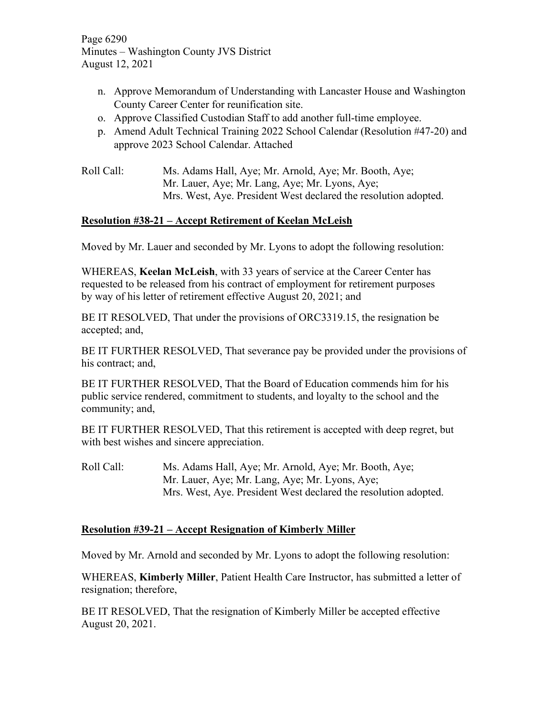Page 6290 Minutes – Washington County JVS District August 12, 2021

- n. Approve Memorandum of Understanding with Lancaster House and Washington County Career Center for reunification site.
- o. Approve Classified Custodian Staff to add another full-time employee.
- p. Amend Adult Technical Training 2022 School Calendar (Resolution #47-20) and approve 2023 School Calendar. Attached

Roll Call: Ms. Adams Hall, Aye; Mr. Arnold, Aye; Mr. Booth, Aye; Mr. Lauer, Aye; Mr. Lang, Aye; Mr. Lyons, Aye; Mrs. West, Aye. President West declared the resolution adopted.

# **Resolution #38-21 – Accept Retirement of Keelan McLeish**

Moved by Mr. Lauer and seconded by Mr. Lyons to adopt the following resolution:

WHEREAS, **Keelan McLeish**, with 33 years of service at the Career Center has requested to be released from his contract of employment for retirement purposes by way of his letter of retirement effective August 20, 2021; and

BE IT RESOLVED, That under the provisions of ORC3319.15, the resignation be accepted; and,

BE IT FURTHER RESOLVED, That severance pay be provided under the provisions of his contract; and,

BE IT FURTHER RESOLVED, That the Board of Education commends him for his public service rendered, commitment to students, and loyalty to the school and the community; and,

BE IT FURTHER RESOLVED, That this retirement is accepted with deep regret, but with best wishes and sincere appreciation.

Roll Call: Ms. Adams Hall, Aye; Mr. Arnold, Aye; Mr. Booth, Aye; Mr. Lauer, Aye; Mr. Lang, Aye; Mr. Lyons, Aye; Mrs. West, Aye. President West declared the resolution adopted.

## **Resolution #39-21 – Accept Resignation of Kimberly Miller**

Moved by Mr. Arnold and seconded by Mr. Lyons to adopt the following resolution:

WHEREAS, **Kimberly Miller**, Patient Health Care Instructor, has submitted a letter of resignation; therefore,

BE IT RESOLVED, That the resignation of Kimberly Miller be accepted effective August 20, 2021.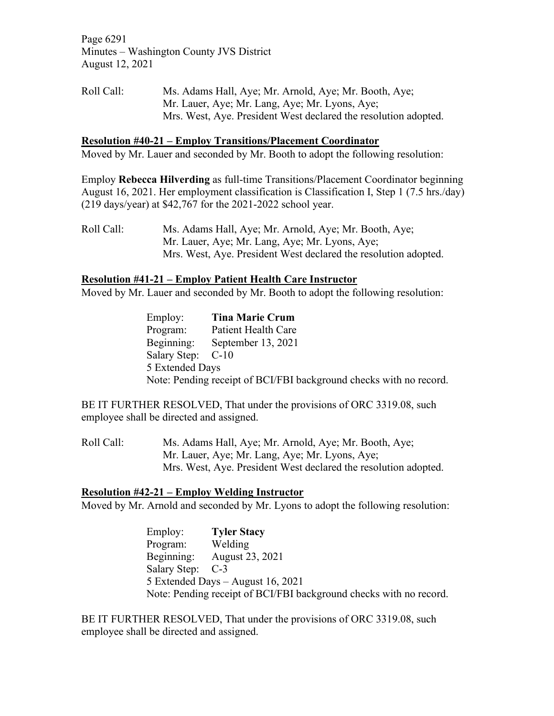Page 6291 Minutes – Washington County JVS District August 12, 2021

Roll Call: Ms. Adams Hall, Aye; Mr. Arnold, Aye; Mr. Booth, Aye; Mr. Lauer, Aye; Mr. Lang, Aye; Mr. Lyons, Aye; Mrs. West, Aye. President West declared the resolution adopted.

#### **Resolution #40-21 – Employ Transitions/Placement Coordinator**

Moved by Mr. Lauer and seconded by Mr. Booth to adopt the following resolution:

Employ **Rebecca Hilverding** as full-time Transitions/Placement Coordinator beginning August 16, 2021. Her employment classification is Classification I, Step 1 (7.5 hrs./day) (219 days/year) at \$42,767 for the 2021-2022 school year.

Roll Call: Ms. Adams Hall, Aye; Mr. Arnold, Aye; Mr. Booth, Aye; Mr. Lauer, Aye; Mr. Lang, Aye; Mr. Lyons, Aye; Mrs. West, Aye. President West declared the resolution adopted.

### **Resolution #41-21 – Employ Patient Health Care Instructor**

Moved by Mr. Lauer and seconded by Mr. Booth to adopt the following resolution:

Employ: **Tina Marie Crum** Program: Patient Health Care Beginning: September 13, 2021 Salary Step: C-10 5 Extended Days Note: Pending receipt of BCI/FBI background checks with no record.

BE IT FURTHER RESOLVED, That under the provisions of ORC 3319.08, such employee shall be directed and assigned.

Roll Call: Ms. Adams Hall, Aye; Mr. Arnold, Aye; Mr. Booth, Aye; Mr. Lauer, Aye; Mr. Lang, Aye; Mr. Lyons, Aye; Mrs. West, Aye. President West declared the resolution adopted.

### **Resolution #42-21 – Employ Welding Instructor**

Moved by Mr. Arnold and seconded by Mr. Lyons to adopt the following resolution:

Employ: **Tyler Stacy** Program: Beginning: August 23, 2021 Salary Step: C-3 5 Extended Days – August 16, 2021 Note: Pending receipt of BCI/FBI background checks with no record.

BE IT FURTHER RESOLVED, That under the provisions of ORC 3319.08, such employee shall be directed and assigned.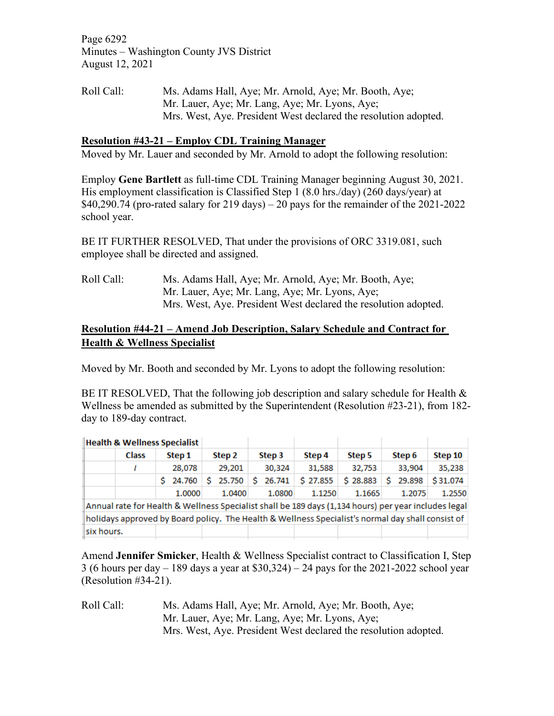Page 6292 Minutes – Washington County JVS District August 12, 2021

Roll Call: Ms. Adams Hall, Aye; Mr. Arnold, Aye; Mr. Booth, Aye; Mr. Lauer, Aye; Mr. Lang, Aye; Mr. Lyons, Aye; Mrs. West, Aye. President West declared the resolution adopted.

## **Resolution #43-21 – Employ CDL Training Manager**

Moved by Mr. Lauer and seconded by Mr. Arnold to adopt the following resolution:

Employ **Gene Bartlett** as full-time CDL Training Manager beginning August 30, 2021. His employment classification is Classified Step 1 (8.0 hrs./day) (260 days/year) at  $$40,290.74$  (pro-rated salary for 219 days) – 20 pays for the remainder of the 2021-2022 school year.

BE IT FURTHER RESOLVED, That under the provisions of ORC 3319.081, such employee shall be directed and assigned.

Roll Call: Ms. Adams Hall, Aye; Mr. Arnold, Aye; Mr. Booth, Aye; Mr. Lauer, Aye; Mr. Lang, Aye; Mr. Lyons, Aye; Mrs. West, Aye. President West declared the resolution adopted.

## **Resolution #44-21 – Amend Job Description, Salary Schedule and Contract for Health & Wellness Specialist**

Moved by Mr. Booth and seconded by Mr. Lyons to adopt the following resolution:

BE IT RESOLVED, That the following job description and salary schedule for Health  $\&$ Wellness be amended as submitted by the Superintendent (Resolution #23-21), from 182 day to 189-day contract.

| <b>Health &amp; Wellness Specialist</b> |                                                                                                   |                                                                                                      |    |        |        |        |        |        |                  |          |        |          |        |        |        |          |  |  |         |  |
|-----------------------------------------|---------------------------------------------------------------------------------------------------|------------------------------------------------------------------------------------------------------|----|--------|--------|--------|--------|--------|------------------|----------|--------|----------|--------|--------|--------|----------|--|--|---------|--|
|                                         |                                                                                                   | <b>Class</b>                                                                                         |    | Step 1 | Step 2 |        |        |        | Step 4<br>Step 3 |          |        |          | Step 5 |        | Step 6 |          |  |  | Step 10 |  |
|                                         |                                                                                                   |                                                                                                      |    | 28,078 |        | 29.201 | 30.324 |        |                  | 31,588   | 32,753 |          |        | 33.904 |        | 35,238   |  |  |         |  |
|                                         |                                                                                                   |                                                                                                      | S. | 24.760 | S.     | 25.750 | s      | 26,741 |                  | \$27.855 |        | \$28.883 | Ŝ.     | 29.898 |        | \$31.074 |  |  |         |  |
|                                         |                                                                                                   |                                                                                                      |    | 1.0000 |        | 1.0400 |        | 1.0800 |                  | 1.1250   |        | 1.1665   |        | 1.2075 |        | 1.2550   |  |  |         |  |
|                                         |                                                                                                   | Annual rate for Health & Wellness Specialist shall be 189 days (1,134 hours) per year includes legal |    |        |        |        |        |        |                  |          |        |          |        |        |        |          |  |  |         |  |
|                                         | holidays approved by Board policy. The Health & Wellness Specialist's normal day shall consist of |                                                                                                      |    |        |        |        |        |        |                  |          |        |          |        |        |        |          |  |  |         |  |
|                                         | six hours.                                                                                        |                                                                                                      |    |        |        |        |        |        |                  |          |        |          |        |        |        |          |  |  |         |  |
|                                         |                                                                                                   |                                                                                                      |    |        |        |        |        |        |                  |          |        |          |        |        |        |          |  |  |         |  |

Amend **Jennifer Smicker**, Health & Wellness Specialist contract to Classification I, Step 3 (6 hours per day  $-189$  days a year at \$30,324) – 24 pays for the 2021-2022 school year (Resolution #34-21).

Roll Call: Ms. Adams Hall, Aye; Mr. Arnold, Aye; Mr. Booth, Aye; Mr. Lauer, Aye; Mr. Lang, Aye; Mr. Lyons, Aye; Mrs. West, Aye. President West declared the resolution adopted.